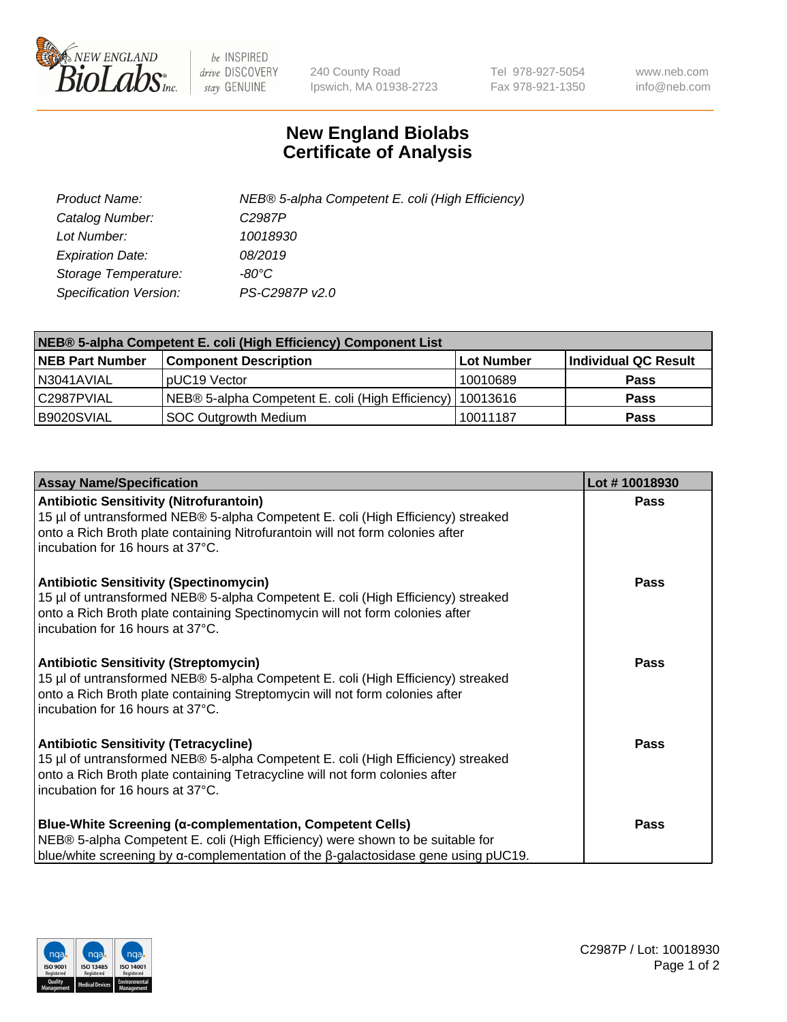

 $be$  INSPIRED drive DISCOVERY stay GENUINE

240 County Road Ipswich, MA 01938-2723 Tel 978-927-5054 Fax 978-921-1350 www.neb.com info@neb.com

## **New England Biolabs Certificate of Analysis**

| Product Name:                 | NEB® 5-alpha Competent E. coli (High Efficiency) |
|-------------------------------|--------------------------------------------------|
| Catalog Number:               | C <sub>2987</sub> P                              |
| Lot Number:                   | 10018930                                         |
| <b>Expiration Date:</b>       | 08/2019                                          |
| Storage Temperature:          | -80°C                                            |
| <b>Specification Version:</b> | PS-C2987P v2.0                                   |

| NEB® 5-alpha Competent E. coli (High Efficiency) Component List |                                                             |             |                      |  |
|-----------------------------------------------------------------|-------------------------------------------------------------|-------------|----------------------|--|
| <b>NEB Part Number</b>                                          | <b>Component Description</b>                                | ⊺Lot Number | Individual QC Result |  |
| N3041AVIAL                                                      | pUC19 Vector                                                | 10010689    | <b>Pass</b>          |  |
| C2987PVIAL                                                      | NEB® 5-alpha Competent E. coli (High Efficiency)   10013616 |             | <b>Pass</b>          |  |
| B9020SVIAL                                                      | <b>SOC Outgrowth Medium</b>                                 | 10011187    | <b>Pass</b>          |  |

| <b>Assay Name/Specification</b>                                                                                                                                                                                                                          | Lot #10018930 |
|----------------------------------------------------------------------------------------------------------------------------------------------------------------------------------------------------------------------------------------------------------|---------------|
| <b>Antibiotic Sensitivity (Nitrofurantoin)</b><br>15 µl of untransformed NEB® 5-alpha Competent E. coli (High Efficiency) streaked<br>onto a Rich Broth plate containing Nitrofurantoin will not form colonies after<br>incubation for 16 hours at 37°C. | <b>Pass</b>   |
| <b>Antibiotic Sensitivity (Spectinomycin)</b><br>15 µl of untransformed NEB® 5-alpha Competent E. coli (High Efficiency) streaked<br>onto a Rich Broth plate containing Spectinomycin will not form colonies after<br>incubation for 16 hours at 37°C.   | <b>Pass</b>   |
| <b>Antibiotic Sensitivity (Streptomycin)</b><br>15 µl of untransformed NEB® 5-alpha Competent E. coli (High Efficiency) streaked<br>onto a Rich Broth plate containing Streptomycin will not form colonies after<br>incubation for 16 hours at 37°C.     | Pass          |
| <b>Antibiotic Sensitivity (Tetracycline)</b><br>15 µl of untransformed NEB® 5-alpha Competent E. coli (High Efficiency) streaked<br>onto a Rich Broth plate containing Tetracycline will not form colonies after<br>incubation for 16 hours at 37°C.     | Pass          |
| Blue-White Screening (α-complementation, Competent Cells)<br>NEB® 5-alpha Competent E. coli (High Efficiency) were shown to be suitable for<br>blue/white screening by $\alpha$ -complementation of the $\beta$ -galactosidase gene using pUC19.         | Pass          |